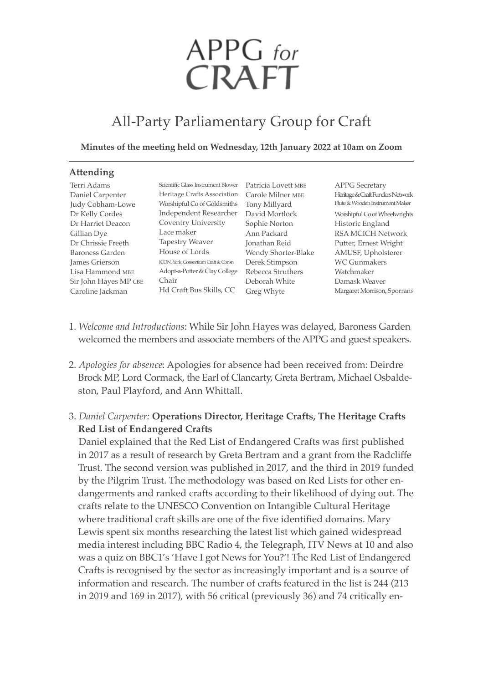# APPG for<br>CRAFT

# All-Party Parliamentary Group for Craft

#### **Minutes of the meeting held on Wednesday, 12th January 2022 at 10am on Zoom**

| <b>Attending</b>       |                                             |                     |                                  |
|------------------------|---------------------------------------------|---------------------|----------------------------------|
| Terri Adams            | Scientific Glass Instrument Blower          | Patricia Lovett MBE | <b>APPG</b> Secretary            |
| Daniel Carpenter       | Heritage Crafts Association                 | Carole Milner MBE   | Heritage & Craft Funders Network |
| Judy Cobham-Lowe       | Worshipful Co of Goldsmiths                 | Tony Millyard       | Flute & Wooden Instrument Maker  |
| Dr Kelly Cordes        | Independent Researcher                      | David Mortlock      | Worshipful Co of Wheelwrights    |
| Dr Harriet Deacon      | Coventry University                         | Sophie Norton       | Historic England                 |
| Gillian Dye            | Lace maker                                  | Ann Packard         | <b>RSA MCICH Network</b>         |
| Dr Chrissie Freeth     | <b>Tapestry Weaver</b>                      | Jonathan Reid       | Putter, Ernest Wright            |
| <b>Baroness Garden</b> | House of Lords                              | Wendy Shorter-Blake | AMUSF, Upholsterer               |
| James Grierson         | <b>ICON</b> , York Consortium Craft & Consn | Derek Stimpson      | <b>WC</b> Gunmakers              |
| Lisa Hammond MBE       | Adopt-a-Potter & Clay College               | Rebecca Struthers   | Watchmaker                       |
| Sir John Hayes MP CBE  | Chair                                       | Deborah White       | Damask Weaver                    |
| Caroline Jackman       | Hd Craft Bus Skills, CC                     | Greg Whyte          | Margaret Morrison, Sporrans      |

- 1. *Welcome and Introductions*: While Sir John Hayes was delayed, baroness Garden welcomed the members and associate members of the APPG and guest speakers.
- 2. *Apologies for absence*: Apologies for absence had been received from: Deirdre Brock MP, Lord Cormack, the Earl of Clancarty, Greta Bertram, Michael Osbaldeston, Paul Playford, and Ann Whittall.

# 3. *Daniel Carpenter:* **Operations Director, Heritage Crafts, The Heritage Crafts Red List of Endangered Crafts**

Daniel explained that the Red List of Endangered Crafts was first published in 2017 as a result of research by Greta bertram and a grant from the Radcliffe Trust. The second version was published in 2017, and the third in 2019 funded by the Pilgrim Trust. The methodology was based on Red Lists for other endangerments and ranked crafts according to their likelihood of dying out. The crafts relate to the UNeSCO Convention on Intangible Cultural Heritage where traditional craft skills are one of the five identified domains. Mary Lewis spent six months researching the latest list which gained widespread media interest including bbC Radio 4, the Telegraph, ITV News at 10 and also was a quiz on BBC1's 'Have I got News for You?'! The Red List of Endangered Crafts is recognised by the sector as increasingly important and is a source of information and research. The number of crafts featured in the list is 244 (213 in 2019 and 169 in 2017), with 56 critical (previously 36) and 74 critically en-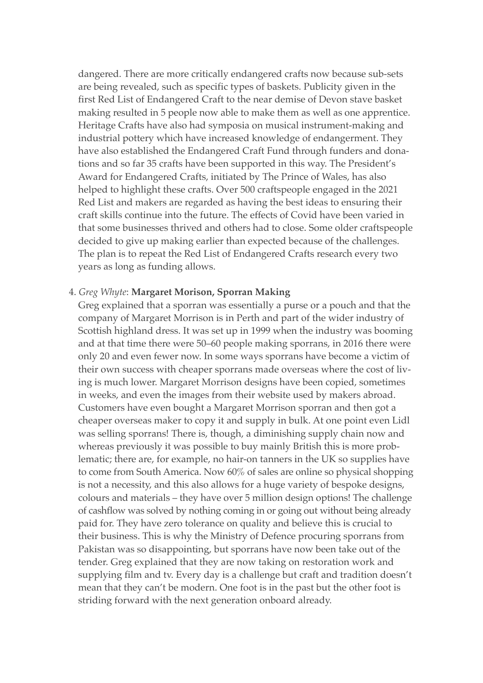dangered. There are more critically endangered crafts now because sub-sets are being revealed, such as specific types of baskets. Publicity given in the first Red List of Endangered Craft to the near demise of Devon stave basket making resulted in 5 people now able to make them as well as one apprentice. Heritage Crafts have also had symposia on musical instrument-making and industrial pottery which have increased knowledge of endangerment. They have also established the Endangered Craft Fund through funders and donations and so far 35 crafts have been supported in this way. The President's Award for Endangered Crafts, initiated by The Prince of Wales, has also helped to highlight these crafts. Over 500 craftspeople engaged in the 2021 Red List and makers are regarded as having the best ideas to ensuring their craft skills continue into the future. The effects of Covid have been varied in that some businesses thrived and others had to close. Some older craftspeople decided to give up making earlier than expected because of the challenges. The plan is to repeat the Red List of Endangered Crafts research every two years as long as funding allows.

#### 4. *Greg Whyte*: **Margaret Morison, Sporran Making**

Greg explained that a sporran was essentially a purse or a pouch and that the company of margaret morrison is in Perth and part of the wider industry of Scottish highland dress. It was set up in 1999 when the industry was booming and at that time there were 50–60 people making sporrans, in 2016 there were only 20 and even fewer now. In some ways sporrans have become a victim of their own success with cheaper sporrans made overseas where the cost of living is much lower. Margaret Morrison designs have been copied, sometimes in weeks, and even the images from their website used by makers abroad. Customers have even bought a Margaret Morrison sporran and then got a cheaper overseas maker to copy it and supply in bulk. At one point even Lidl was selling sporrans! There is, though, a diminishing supply chain now and whereas previously it was possible to buy mainly British this is more problematic; there are, for example, no hair-on tanners in the UK so supplies have to come from South America. Now 60% of sales are online so physical shopping is not a necessity, and this also allows for a huge variety of bespoke designs, colours and materials – they have over 5 million design options! The challenge of cashflow was solved by nothing coming in or going out without being already paid for. They have zero tolerance on quality and believe this is crucial to their business. This is why the ministry of Defence procuring sporrans from Pakistan was so disappointing, but sporrans have now been take out of the tender. Greg explained that they are now taking on restoration work and supplying film and tv. Every day is a challenge but craft and tradition doesn't mean that they can't be modern. One foot is in the past but the other foot is striding forward with the next generation onboard already.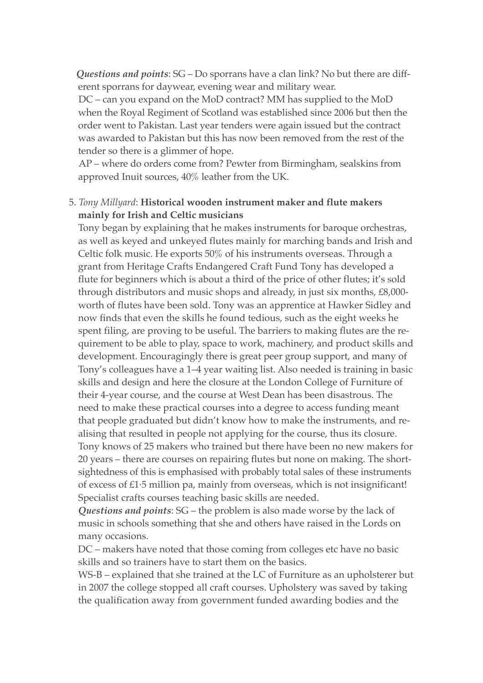*Questions and points*: SG – Do sporrans have a clan link? No but there are different sporrans for daywear, evening wear and military wear.

DC – can you expand on the MoD contract? MM has supplied to the MoD when the Royal Regiment of Scotland was established since 2006 but then the order went to Pakistan. Last year tenders were again issued but the contract was awarded to Pakistan but this has now been removed from the rest of the tender so there is a glimmer of hope.

55AP – where do orders come from? Pewter from birmingham, sealskins from approved Inuit sources, 40% leather from the UK.

## 5. *Tony Millyard*: **Historical wooden instrument maker and flute makers mainly for Irish and Celtic musicians**

Tony began by explaining that he makes instruments for baroque orchestras, as well as keyed and unkeyed flutes mainly for marching bands and Irish and Celtic folk music. He exports 50% of his instruments overseas. Through a grant from Heritage Crafts Endangered Craft Fund Tony has developed a flute for beginners which is about a third of the price of other flutes; it's sold through distributors and music shops and already, in just six months, £8,000 worth of flutes have been sold. Tony was an apprentice at Hawker Sidley and now finds that even the skills he found tedious, such as the eight weeks he spent filing, are proving to be useful. The barriers to making flutes are the requirement to be able to play, space to work, machinery, and product skills and development. Encouragingly there is great peer group support, and many of Tony's colleagues have a 1–4 year waiting list. Also needed is training in basic skills and design and here the closure at the London College of Furniture of their 4-year course, and the course at West Dean has been disastrous. The need to make these practical courses into a degree to access funding meant that people graduated but didn't know how to make the instruments, and realising that resulted in people not applying for the course, thus its closure. Tony knows of 25 makers who trained but there have been no new makers for 20 years – there are courses on repairing flutes but none on making. The shortsightedness of this is emphasised with probably total sales of these instruments of excess of £1·5 million pa, mainly from overseas, which is not insignificant! Specialist crafts courses teaching basic skills are needed.

*Questions and points*: SG – the problem is also made worse by the lack of music in schools something that she and others have raised in the Lords on many occasions.

DC – makers have noted that those coming from colleges etc have no basic skills and so trainers have to start them on the basics.

WS-B – explained that she trained at the LC of Furniture as an upholsterer but in 2007 the college stopped all craft courses. Upholstery was saved by taking the qualification away from government funded awarding bodies and the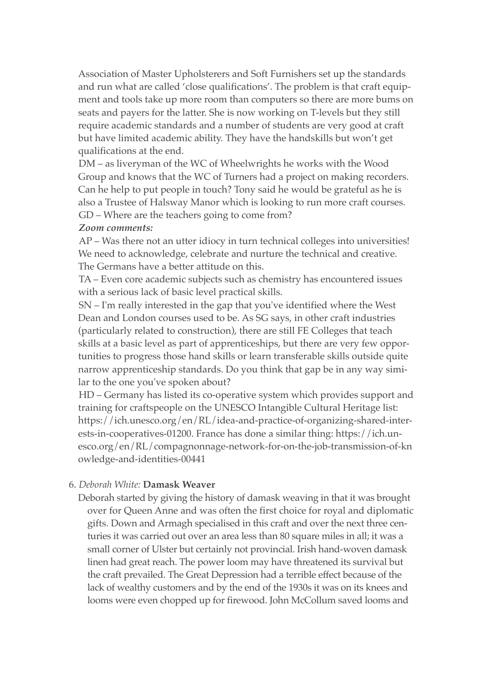Association of master Upholsterers and Soft Furnishers set up the standards and run what are called 'close qualifications'. The problem is that craft equipment and tools take up more room than computers so there are more bums on seats and payers for the latter. She is now working on T-levels but they still require academic standards and a number of students are very good at craft but have limited academic ability. They have the handskills but won't get qualifications at the end.

DM – as liveryman of the WC of Wheelwrights he works with the Wood Group and knows that the WC of Turners had a project on making recorders. Can he help to put people in touch? Tony said he would be grateful as he is also a Trustee of Halsway manor which is looking to run more craft courses. 55GD – Where are the teachers going to come from?

#### *Zoom comments:*

AP – Was there not an utter idiocy in turn technical colleges into universities! We need to acknowledge, celebrate and nurture the technical and creative. The Germans have a better attitude on this.

TA – Even core academic subjects such as chemistry has encountered issues with a serious lack of basic level practical skills.

55SN – I'm really interested in the gap that you've identified where the West Dean and London courses used to be. As SG says, in other craft industries (particularly related to construction), there are still FE Colleges that teach skills at a basic level as part of apprenticeships, but there are very few opportunities to progress those hand skills or learn transferable skills outside quite narrow apprenticeship standards. Do you think that gap be in any way similar to the one you've spoken about?

55HD – Germany has listed its co-operative system which provides support and training for craftspeople on the UNeSCO Intangible Cultural Heritage list: https://ich.unesco.org/en/RL/idea-and-practice-of-organizing-shared-interests-in-cooperatives-01200. France has done a similar thing: https://ich.unesco.org/en/RL/compagnonnage-network-for-on-the-job-transmission-of-kn owledge-and-identities-00441

### 6. *Deborah White:* **Damask Weaver**

Deborah started by giving the history of damask weaving in that it was brought over for Queen Anne and was often the first choice for royal and diplomatic gifts. Down and Armagh specialised in this craft and over the next three centuries it was carried out over an area less than 80 square miles in all; it was a small corner of Ulster but certainly not provincial. Irish hand-woven damask linen had great reach. The power loom may have threatened its survival but the craft prevailed. The Great Depression had a terrible effect because of the lack of wealthy customers and by the end of the 1930s it was on its knees and looms were even chopped up for firewood. John mcCollum saved looms and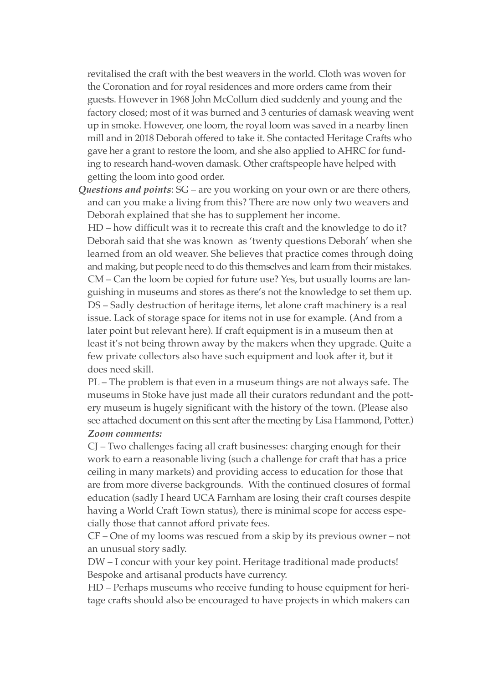revitalised the craft with the best weavers in the world. Cloth was woven for the Coronation and for royal residences and more orders came from their guests. However in 1968 John mcCollum died suddenly and young and the factory closed; most of it was burned and 3 centuries of damask weaving went up in smoke. However, one loom, the royal loom was saved in a nearby linen mill and in 2018 Deborah offered to take it. She contacted Heritage Crafts who gave her a grant to restore the loom, and she also applied to AHRC for funding to research hand-woven damask. Other craftspeople have helped with getting the loom into good order.

*Questions and points*: SG – are you working on your own or are there others, and can you make a living from this? There are now only two weavers and Deborah explained that she has to supplement her income.

55HD – how difficult was it to recreate this craft and the knowledge to do it? Deborah said that she was known as 'twenty questions Deborah' when she learned from an old weaver. She believes that practice comes through doing and making, but people need to do this themselves and learn from their mistakes. 55Cm – Can the loom be copied for future use? Yes, but usually looms are languishing in museums and stores as there's not the knowledge to set them up. 55DS – Sadly destruction of heritage items, let alone craft machinery is a real issue. Lack of storage space for items not in use for example. (And from a later point but relevant here). If craft equipment is in a museum then at least it's not being thrown away by the makers when they upgrade. Quite a few private collectors also have such equipment and look after it, but it does need skill.

55PL – The problem is that even in a museum things are not always safe. The museums in Stoke have just made all their curators redundant and the pottery museum is hugely significant with the history of the town. (Please also see attached document on this sent after the meeting by Lisa Hammond, Potter.) 55*Zoom comments:*

55CJ – Two challenges facing all craft businesses: charging enough for their work to earn a reasonable living (such a challenge for craft that has a price ceiling in many markets) and providing access to education for those that are from more diverse backgrounds. With the continued closures of formal education (sadly I heard UCA Farnham are losing their craft courses despite having a World Craft Town status), there is minimal scope for access especially those that cannot afford private fees.

 $CF$  – One of my looms was rescued from a skip by its previous owner – not an unusual story sadly.

55DW – I concur with your key point. Heritage traditional made products! bespoke and artisanal products have currency.

55HD – Perhaps museums who receive funding to house equipment for heritage crafts should also be encouraged to have projects in which makers can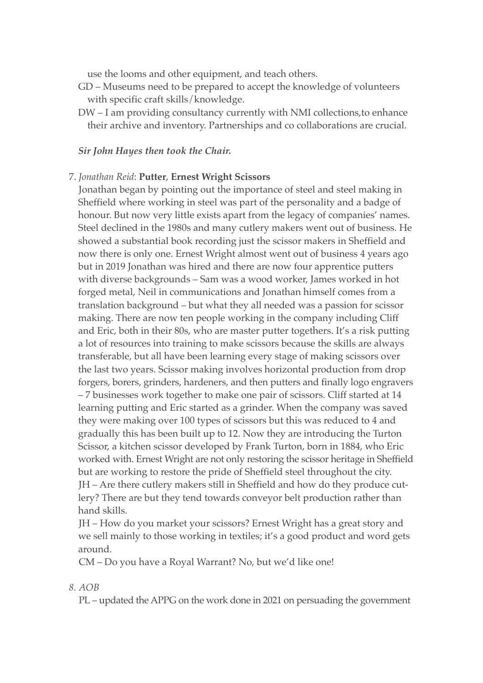use the looms and other equipment, and teach others.

- GD museums need to be prepared to accept the knowledge of volunteers with specific craft skills/knowledge.
- DW I am providing consultancy currently with NmI collections,to enhance their archive and inventory. Partnerships and co collaborations are crucial.

#### *Sir John Hayes then took the Chair.*

#### 7. *Jonathan Reid*: **Putter**, **Ernest Wright Scissors**

Jonathan began by pointing out the importance of steel and steel making in Sheffield where working in steel was part of the personality and a badge of honour. But now very little exists apart from the legacy of companies' names. Steel declined in the 1980s and many cutlery makers went out of business. He showed a substantial book recording just the scissor makers in Sheffield and now there is only one. Ernest Wright almost went out of business 4 years ago but in 2019 Jonathan was hired and there are now four apprentice putters with diverse backgrounds – Sam was a wood worker, James worked in hot forged metal, Neil in communications and Jonathan himself comes from a translation background – but what they all needed was a passion for scissor making. There are now ten people working in the company including Cliff and Eric, both in their 80s, who are master putter togethers. It's a risk putting a lot of resources into training to make scissors because the skills are always transferable, but all have been learning every stage of making scissors over the last two years. Scissor making involves horizontal production from drop forgers, borers, grinders, hardeners, and then putters and finally logo engravers – 7 businesses work together to make one pair of scissors. Cliff started at 14 learning putting and Eric started as a grinder. When the company was saved they were making over 100 types of scissors but this was reduced to 4 and gradually this has been built up to 12. Now they are introducing the Turton Scissor, a kitchen scissor developed by Frank Turton, born in 1884, who Eric worked with. Ernest Wright are not only restoring the scissor heritage in Sheffield but are working to restore the pride of Sheffield steel throughout the city. 55JH – Are there cutlery makers still in Sheffield and how do they produce cutlery? There are but they tend towards conveyor belt production rather than hand skills.

JH – How do you market your scissors? Ernest Wright has a great story and we sell mainly to those working in textiles; it's a good product and word gets around.

CM – Do you have a Royal Warrant? No, but we'd like one!

#### *8. AOB*

PL – updated the APPG on the work done in 2021 on persuading the government